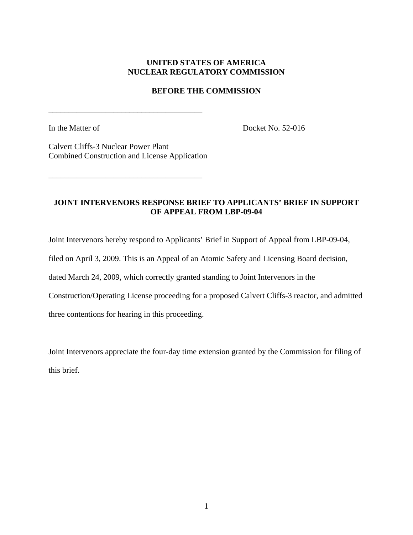### **UNITED STATES OF AMERICA NUCLEAR REGULATORY COMMISSION**

#### **BEFORE THE COMMISSION**

In the Matter of Docket No. 52-016

Calvert Cliffs-3 Nuclear Power Plant Combined Construction and License Application

\_\_\_\_\_\_\_\_\_\_\_\_\_\_\_\_\_\_\_\_\_\_\_\_\_\_\_\_\_\_\_\_\_\_\_\_\_\_

\_\_\_\_\_\_\_\_\_\_\_\_\_\_\_\_\_\_\_\_\_\_\_\_\_\_\_\_\_\_\_\_\_\_\_\_\_\_

### **JOINT INTERVENORS RESPONSE BRIEF TO APPLICANTS' BRIEF IN SUPPORT OF APPEAL FROM LBP-09-04**

Joint Intervenors hereby respond to Applicants' Brief in Support of Appeal from LBP-09-04,

filed on April 3, 2009. This is an Appeal of an Atomic Safety and Licensing Board decision,

dated March 24, 2009, which correctly granted standing to Joint Intervenors in the

Construction/Operating License proceeding for a proposed Calvert Cliffs-3 reactor, and admitted

three contentions for hearing in this proceeding.

Joint Intervenors appreciate the four-day time extension granted by the Commission for filing of this brief.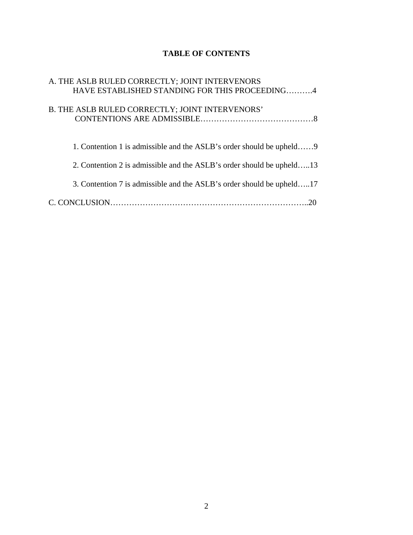# **TABLE OF CONTENTS**

| A. THE ASLB RULED CORRECTLY; JOINT INTERVENORS                        |
|-----------------------------------------------------------------------|
| HAVE ESTABLISHED STANDING FOR THIS PROCEEDING4                        |
| B. THE ASLB RULED CORRECTLY; JOINT INTERVENORS'                       |
|                                                                       |
| 1. Contention 1 is admissible and the ASLB's order should be upheld9  |
| 2. Contention 2 is admissible and the ASLB's order should be upheld13 |
| 3. Contention 7 is admissible and the ASLB's order should be upheld17 |
|                                                                       |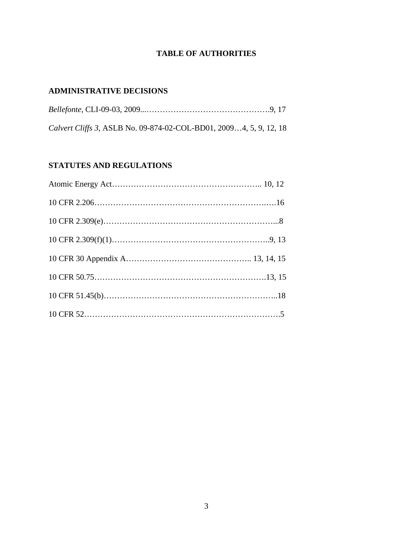## **TABLE OF AUTHORITIES**

## **ADMINISTRATIVE DECISIONS**

| Calvert Cliffs 3, ASLB No. 09-874-02-COL-BD01, 20094, 5, 9, 12, 18 |  |
|--------------------------------------------------------------------|--|

# **STATUTES AND REGULATIONS**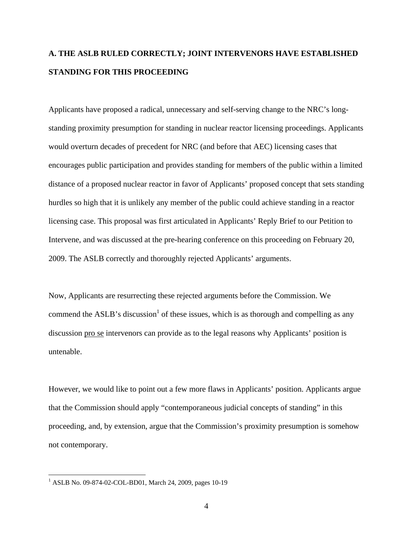# **A. THE ASLB RULED CORRECTLY; JOINT INTERVENORS HAVE ESTABLISHED STANDING FOR THIS PROCEEDING**

Applicants have proposed a radical, unnecessary and self-serving change to the NRC's longstanding proximity presumption for standing in nuclear reactor licensing proceedings. Applicants would overturn decades of precedent for NRC (and before that AEC) licensing cases that encourages public participation and provides standing for members of the public within a limited distance of a proposed nuclear reactor in favor of Applicants' proposed concept that sets standing hurdles so high that it is unlikely any member of the public could achieve standing in a reactor licensing case. This proposal was first articulated in Applicants' Reply Brief to our Petition to Intervene, and was discussed at the pre-hearing conference on this proceeding on February 20, 2009. The ASLB correctly and thoroughly rejected Applicants' arguments.

Now, Applicants are resurrecting these rejected arguments before the Commission. We commend the ASLB's discussion<sup>1</sup> of these issues, which is as thorough and compelling as any discussion pro se intervenors can provide as to the legal reasons why Applicants' position is untenable.

However, we would like to point out a few more flaws in Applicants' position. Applicants argue that the Commission should apply "contemporaneous judicial concepts of standing" in this proceeding, and, by extension, argue that the Commission's proximity presumption is somehow not contemporary.

<sup>&</sup>lt;sup>1</sup> ASLB No. 09-874-02-COL-BD01, March 24, 2009, pages 10-19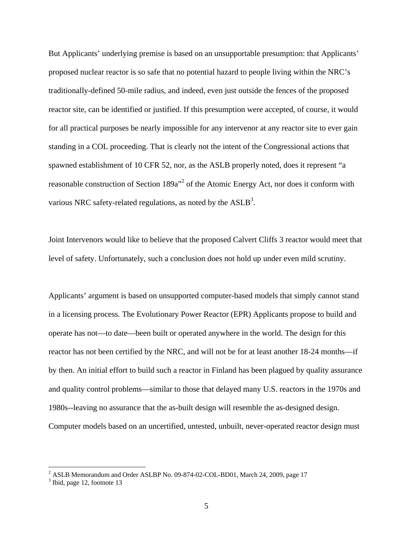But Applicants' underlying premise is based on an unsupportable presumption: that Applicants' proposed nuclear reactor is so safe that no potential hazard to people living within the NRC's traditionally-defined 50-mile radius, and indeed, even just outside the fences of the proposed reactor site, can be identified or justified. If this presumption were accepted, of course, it would for all practical purposes be nearly impossible for any intervenor at any reactor site to ever gain standing in a COL proceeding. That is clearly not the intent of the Congressional actions that spawned establishment of 10 CFR 52, nor, as the ASLB properly noted, does it represent "a reasonable construction of Section  $189a^{2}$  of the Atomic Energy Act, nor does it conform with various NRC safety-related regulations, as noted by the  $ASLB<sup>3</sup>$ .

Joint Intervenors would like to believe that the proposed Calvert Cliffs 3 reactor would meet that level of safety. Unfortunately, such a conclusion does not hold up under even mild scrutiny.

Applicants' argument is based on unsupported computer-based models that simply cannot stand in a licensing process. The Evolutionary Power Reactor (EPR) Applicants propose to build and operate has not—to date—been built or operated anywhere in the world. The design for this reactor has not been certified by the NRC, and will not be for at least another 18-24 months—if by then. An initial effort to build such a reactor in Finland has been plagued by quality assurance and quality control problems—similar to those that delayed many U.S. reactors in the 1970s and 1980s--leaving no assurance that the as-built design will resemble the as-designed design. Computer models based on an uncertified, untested, unbuilt, never-operated reactor design must

<sup>&</sup>lt;sup>2</sup> ASLB Memorandum and Order ASLBP No. 09-874-02-COL-BD01, March 24, 2009, page 17

<sup>&</sup>lt;sup>3</sup> Ibid, page 12, footnote 13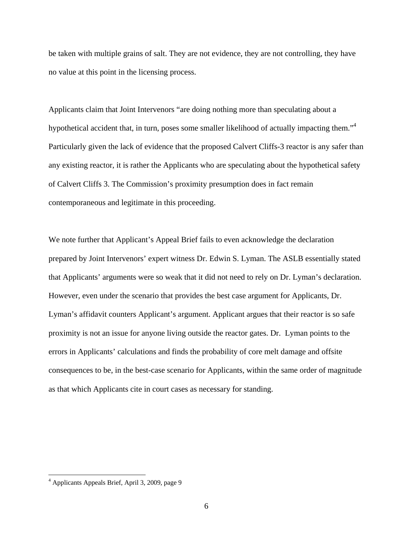be taken with multiple grains of salt. They are not evidence, they are not controlling, they have no value at this point in the licensing process.

Applicants claim that Joint Intervenors "are doing nothing more than speculating about a hypothetical accident that, in turn, poses some smaller likelihood of actually impacting them."<sup>4</sup> Particularly given the lack of evidence that the proposed Calvert Cliffs-3 reactor is any safer than any existing reactor, it is rather the Applicants who are speculating about the hypothetical safety of Calvert Cliffs 3. The Commission's proximity presumption does in fact remain contemporaneous and legitimate in this proceeding.

We note further that Applicant's Appeal Brief fails to even acknowledge the declaration prepared by Joint Intervenors' expert witness Dr. Edwin S. Lyman. The ASLB essentially stated that Applicants' arguments were so weak that it did not need to rely on Dr. Lyman's declaration. However, even under the scenario that provides the best case argument for Applicants, Dr. Lyman's affidavit counters Applicant's argument. Applicant argues that their reactor is so safe proximity is not an issue for anyone living outside the reactor gates. Dr. Lyman points to the errors in Applicants' calculations and finds the probability of core melt damage and offsite consequences to be, in the best-case scenario for Applicants, within the same order of magnitude as that which Applicants cite in court cases as necessary for standing.

<u>.</u>

<sup>4</sup> Applicants Appeals Brief, April 3, 2009, page 9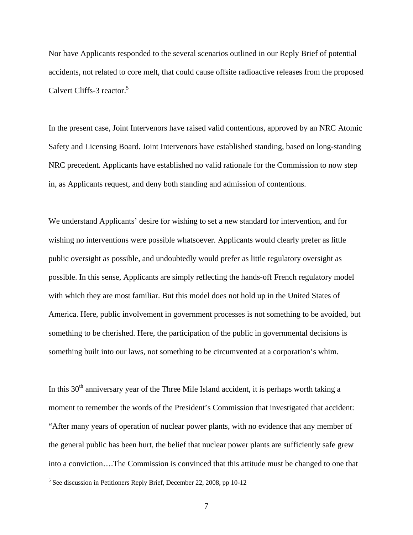Nor have Applicants responded to the several scenarios outlined in our Reply Brief of potential accidents, not related to core melt, that could cause offsite radioactive releases from the proposed Calvert Cliffs-3 reactor.<sup>5</sup>

In the present case, Joint Intervenors have raised valid contentions, approved by an NRC Atomic Safety and Licensing Board. Joint Intervenors have established standing, based on long-standing NRC precedent. Applicants have established no valid rationale for the Commission to now step in, as Applicants request, and deny both standing and admission of contentions.

We understand Applicants' desire for wishing to set a new standard for intervention, and for wishing no interventions were possible whatsoever. Applicants would clearly prefer as little public oversight as possible, and undoubtedly would prefer as little regulatory oversight as possible. In this sense, Applicants are simply reflecting the hands-off French regulatory model with which they are most familiar. But this model does not hold up in the United States of America. Here, public involvement in government processes is not something to be avoided, but something to be cherished. Here, the participation of the public in governmental decisions is something built into our laws, not something to be circumvented at a corporation's whim.

In this  $30<sup>th</sup>$  anniversary year of the Three Mile Island accident, it is perhaps worth taking a moment to remember the words of the President's Commission that investigated that accident: "After many years of operation of nuclear power plants, with no evidence that any member of the general public has been hurt, the belief that nuclear power plants are sufficiently safe grew into a conviction….The Commission is convinced that this attitude must be changed to one that

 5 See discussion in Petitioners Reply Brief, December 22, 2008, pp 10-12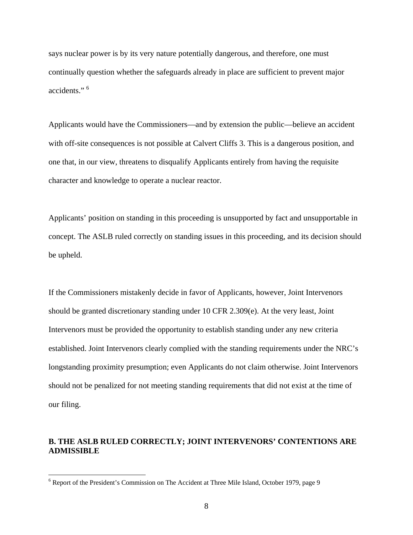says nuclear power is by its very nature potentially dangerous, and therefore, one must continually question whether the safeguards already in place are sufficient to prevent major accidents."<sup>6</sup>

Applicants would have the Commissioners—and by extension the public—believe an accident with off-site consequences is not possible at Calvert Cliffs 3. This is a dangerous position, and one that, in our view, threatens to disqualify Applicants entirely from having the requisite character and knowledge to operate a nuclear reactor.

Applicants' position on standing in this proceeding is unsupported by fact and unsupportable in concept. The ASLB ruled correctly on standing issues in this proceeding, and its decision should be upheld.

If the Commissioners mistakenly decide in favor of Applicants, however, Joint Intervenors should be granted discretionary standing under 10 CFR 2.309(e). At the very least, Joint Intervenors must be provided the opportunity to establish standing under any new criteria established. Joint Intervenors clearly complied with the standing requirements under the NRC's longstanding proximity presumption; even Applicants do not claim otherwise. Joint Intervenors should not be penalized for not meeting standing requirements that did not exist at the time of our filing.

#### **B. THE ASLB RULED CORRECTLY; JOINT INTERVENORS' CONTENTIONS ARE ADMISSIBLE**

<sup>&</sup>lt;sup>6</sup> Report of the President's Commission on The Accident at Three Mile Island, October 1979, page 9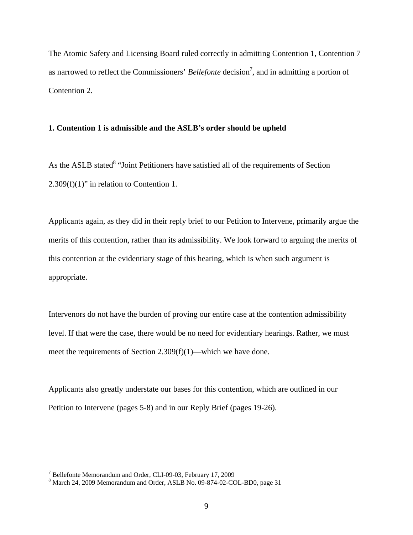The Atomic Safety and Licensing Board ruled correctly in admitting Contention 1, Contention 7 as narrowed to reflect the Commissioners' *Bellefonte* decision<sup>7</sup>, and in admitting a portion of Contention 2.

#### **1. Contention 1 is admissible and the ASLB's order should be upheld**

As the ASLB stated<sup>8</sup> "Joint Petitioners have satisfied all of the requirements of Section  $2.309(f)(1)$ " in relation to Contention 1.

Applicants again, as they did in their reply brief to our Petition to Intervene, primarily argue the merits of this contention, rather than its admissibility. We look forward to arguing the merits of this contention at the evidentiary stage of this hearing, which is when such argument is appropriate.

Intervenors do not have the burden of proving our entire case at the contention admissibility level. If that were the case, there would be no need for evidentiary hearings. Rather, we must meet the requirements of Section 2.309(f)(1)—which we have done.

Applicants also greatly understate our bases for this contention, which are outlined in our Petition to Intervene (pages 5-8) and in our Reply Brief (pages 19-26).

 7 Bellefonte Memorandum and Order, CLI-09-03, February 17, 2009

<sup>&</sup>lt;sup>8</sup> March 24, 2009 Memorandum and Order, ASLB No. 09-874-02-COL-BD0, page 31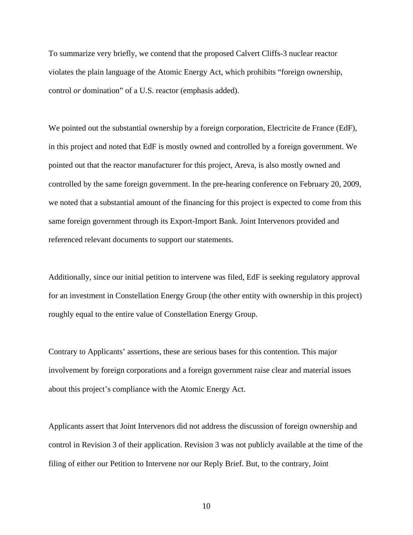To summarize very briefly, we contend that the proposed Calvert Cliffs-3 nuclear reactor violates the plain language of the Atomic Energy Act, which prohibits "foreign ownership, control *or* domination" of a U.S. reactor (emphasis added).

We pointed out the substantial ownership by a foreign corporation, Electricite de France (EdF), in this project and noted that EdF is mostly owned and controlled by a foreign government. We pointed out that the reactor manufacturer for this project, Areva, is also mostly owned and controlled by the same foreign government. In the pre-hearing conference on February 20, 2009, we noted that a substantial amount of the financing for this project is expected to come from this same foreign government through its Export-Import Bank. Joint Intervenors provided and referenced relevant documents to support our statements.

Additionally, since our initial petition to intervene was filed, EdF is seeking regulatory approval for an investment in Constellation Energy Group (the other entity with ownership in this project) roughly equal to the entire value of Constellation Energy Group.

Contrary to Applicants' assertions, these are serious bases for this contention. This major involvement by foreign corporations and a foreign government raise clear and material issues about this project's compliance with the Atomic Energy Act.

Applicants assert that Joint Intervenors did not address the discussion of foreign ownership and control in Revision 3 of their application. Revision 3 was not publicly available at the time of the filing of either our Petition to Intervene nor our Reply Brief. But, to the contrary, Joint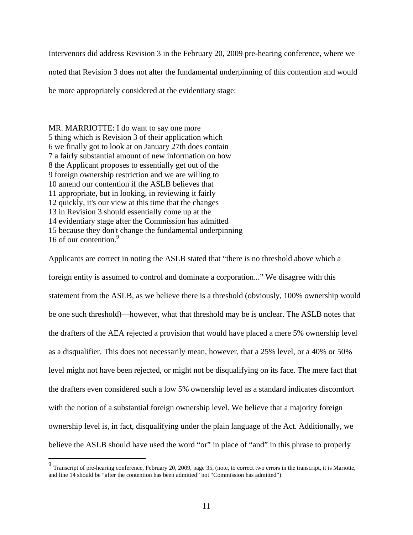Intervenors did address Revision 3 in the February 20, 2009 pre-hearing conference, where we noted that Revision 3 does not alter the fundamental underpinning of this contention and would be more appropriately considered at the evidentiary stage:

MR. MARRIOTTE: I do want to say one more 5 thing which is Revision 3 of their application which 6 we finally got to look at on January 27th does contain 7 a fairly substantial amount of new information on how 8 the Applicant proposes to essentially get out of the 9 foreign ownership restriction and we are willing to 10 amend our contention if the ASLB believes that 11 appropriate, but in looking, in reviewing it fairly 12 quickly, it's our view at this time that the changes 13 in Revision 3 should essentially come up at the 14 evidentiary stage after the Commission has admitted 15 because they don't change the fundamental underpinning 16 of our contention.<sup>9</sup>

1

Applicants are correct in noting the ASLB stated that "there is no threshold above which a foreign entity is assumed to control and dominate a corporation..." We disagree with this statement from the ASLB, as we believe there is a threshold (obviously, 100% ownership would be one such threshold)—however, what that threshold may be is unclear. The ASLB notes that the drafters of the AEA rejected a provision that would have placed a mere 5% ownership level as a disqualifier. This does not necessarily mean, however, that a 25% level, or a 40% or 50% level might not have been rejected, or might not be disqualifying on its face. The mere fact that the drafters even considered such a low 5% ownership level as a standard indicates discomfort with the notion of a substantial foreign ownership level. We believe that a majority foreign ownership level is, in fact, disqualifying under the plain language of the Act. Additionally, we believe the ASLB should have used the word "or" in place of "and" in this phrase to properly

<sup>&</sup>lt;sup>9</sup> Transcript of pre-hearing conference, February 20, 2009, page 35, (note, to correct two errors in the transcript, it is Mariotte, and line 14 should be "after the contention has been admitted" not "Commission has admitted")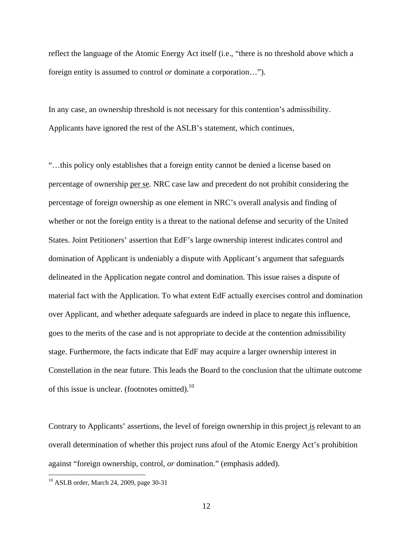reflect the language of the Atomic Energy Act itself (i.e., "there is no threshold above which a foreign entity is assumed to control *or* dominate a corporation…").

In any case, an ownership threshold is not necessary for this contention's admissibility. Applicants have ignored the rest of the ASLB's statement, which continues,

"…this policy only establishes that a foreign entity cannot be denied a license based on percentage of ownership per se*.* NRC case law and precedent do not prohibit considering the percentage of foreign ownership as one element in NRC's overall analysis and finding of whether or not the foreign entity is a threat to the national defense and security of the United States. Joint Petitioners' assertion that EdF's large ownership interest indicates control and domination of Applicant is undeniably a dispute with Applicant's argument that safeguards delineated in the Application negate control and domination. This issue raises a dispute of material fact with the Application. To what extent EdF actually exercises control and domination over Applicant, and whether adequate safeguards are indeed in place to negate this influence, goes to the merits of the case and is not appropriate to decide at the contention admissibility stage. Furthermore, the facts indicate that EdF may acquire a larger ownership interest in Constellation in the near future. This leads the Board to the conclusion that the ultimate outcome of this issue is unclear. (footnotes omitted). $^{10}$ 

Contrary to Applicants' assertions, the level of foreign ownership in this project is relevant to an overall determination of whether this project runs afoul of the Atomic Energy Act's prohibition against "foreign ownership, control, *or* domination." (emphasis added).

<sup>10</sup> ASLB order, March 24, 2009, page 30-31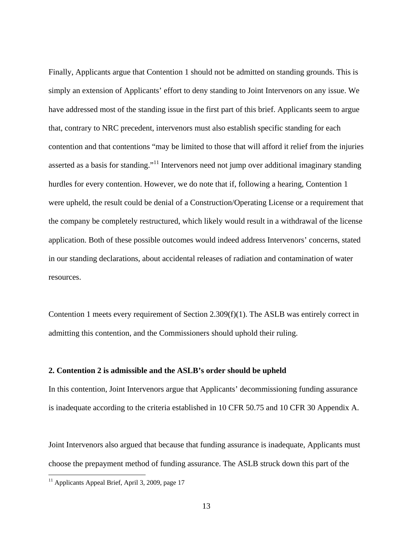Finally, Applicants argue that Contention 1 should not be admitted on standing grounds. This is simply an extension of Applicants' effort to deny standing to Joint Intervenors on any issue. We have addressed most of the standing issue in the first part of this brief. Applicants seem to argue that, contrary to NRC precedent, intervenors must also establish specific standing for each contention and that contentions "may be limited to those that will afford it relief from the injuries asserted as a basis for standing."11 Intervenors need not jump over additional imaginary standing hurdles for every contention. However, we do note that if, following a hearing, Contention 1 were upheld, the result could be denial of a Construction/Operating License or a requirement that the company be completely restructured, which likely would result in a withdrawal of the license application. Both of these possible outcomes would indeed address Intervenors' concerns, stated in our standing declarations, about accidental releases of radiation and contamination of water resources.

Contention 1 meets every requirement of Section 2.309(f)(1). The ASLB was entirely correct in admitting this contention, and the Commissioners should uphold their ruling.

#### **2. Contention 2 is admissible and the ASLB's order should be upheld**

In this contention, Joint Intervenors argue that Applicants' decommissioning funding assurance is inadequate according to the criteria established in 10 CFR 50.75 and 10 CFR 30 Appendix A.

Joint Intervenors also argued that because that funding assurance is inadequate, Applicants must choose the prepayment method of funding assurance. The ASLB struck down this part of the

 $11$  Applicants Appeal Brief, April 3, 2009, page 17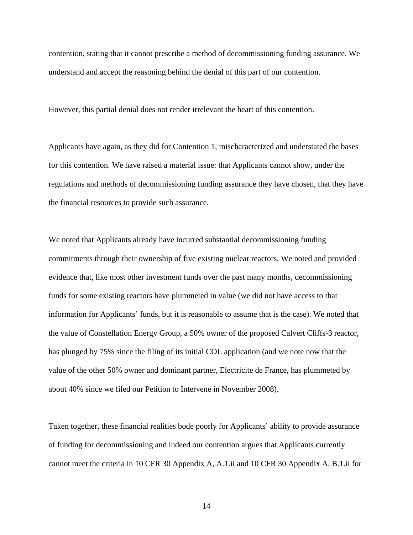contention, stating that it cannot prescribe a method of decommissioning funding assurance. We understand and accept the reasoning behind the denial of this part of our contention.

However, this partial denial does not render irrelevant the heart of this contention.

Applicants have again, as they did for Contention 1, mischaracterized and understated the bases for this contention. We have raised a material issue: that Applicants cannot show, under the regulations and methods of decommissioning funding assurance they have chosen, that they have the financial resources to provide such assurance.

We noted that Applicants already have incurred substantial decommissioning funding commitments through their ownership of five existing nuclear reactors. We noted and provided evidence that, like most other investment funds over the past many months, decommissioning funds for some existing reactors have plummeted in value (we did not have access to that information for Applicants' funds, but it is reasonable to assume that is the case). We noted that the value of Constellation Energy Group, a 50% owner of the proposed Calvert Cliffs-3 reactor, has plunged by 75% since the filing of its initial COL application (and we note now that the value of the other 50% owner and dominant partner, Electricite de France, has plummeted by about 40% since we filed our Petition to Intervene in November 2008).

Taken together, these financial realities bode poorly for Applicants' ability to provide assurance of funding for decommissioning and indeed our contention argues that Applicants currently cannot meet the criteria in 10 CFR 30 Appendix A, A.1.ii and 10 CFR 30 Appendix A, B.1.ii for

14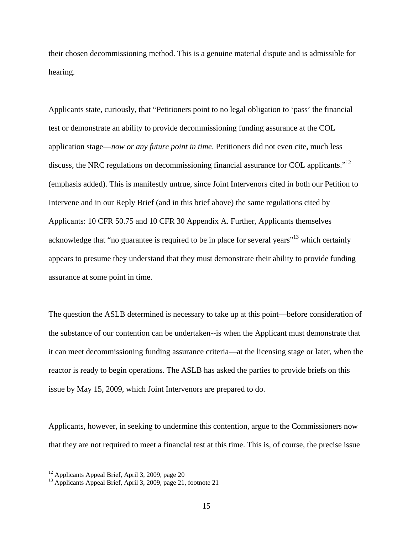their chosen decommissioning method. This is a genuine material dispute and is admissible for hearing.

Applicants state, curiously, that "Petitioners point to no legal obligation to 'pass' the financial test or demonstrate an ability to provide decommissioning funding assurance at the COL application stage—*now or any future point in time*. Petitioners did not even cite, much less discuss, the NRC regulations on decommissioning financial assurance for COL applicants."<sup>12</sup> (emphasis added). This is manifestly untrue, since Joint Intervenors cited in both our Petition to Intervene and in our Reply Brief (and in this brief above) the same regulations cited by Applicants: 10 CFR 50.75 and 10 CFR 30 Appendix A. Further, Applicants themselves acknowledge that "no guarantee is required to be in place for several years"<sup>13</sup> which certainly appears to presume they understand that they must demonstrate their ability to provide funding assurance at some point in time.

The question the ASLB determined is necessary to take up at this point—before consideration of the substance of our contention can be undertaken--is when the Applicant must demonstrate that it can meet decommissioning funding assurance criteria—at the licensing stage or later, when the reactor is ready to begin operations. The ASLB has asked the parties to provide briefs on this issue by May 15, 2009, which Joint Intervenors are prepared to do.

Applicants, however, in seeking to undermine this contention, argue to the Commissioners now that they are not required to meet a financial test at this time. This is, of course, the precise issue

 $12$  Applicants Appeal Brief, April 3, 2009, page 20

<sup>&</sup>lt;sup>13</sup> Applicants Appeal Brief, April 3, 2009, page 21, footnote 21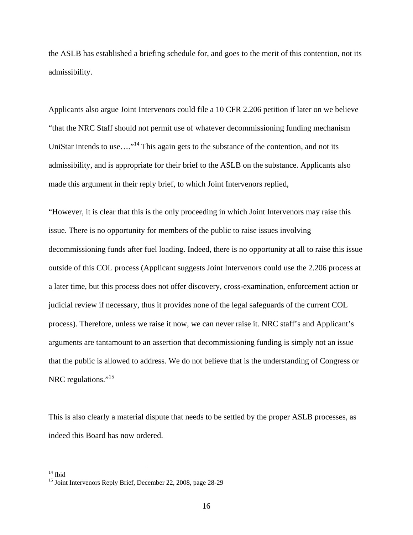the ASLB has established a briefing schedule for, and goes to the merit of this contention, not its admissibility.

Applicants also argue Joint Intervenors could file a 10 CFR 2.206 petition if later on we believe "that the NRC Staff should not permit use of whatever decommissioning funding mechanism UniStar intends to use....<sup>"14</sup> This again gets to the substance of the contention, and not its admissibility, and is appropriate for their brief to the ASLB on the substance. Applicants also made this argument in their reply brief, to which Joint Intervenors replied,

"However, it is clear that this is the only proceeding in which Joint Intervenors may raise this issue. There is no opportunity for members of the public to raise issues involving decommissioning funds after fuel loading. Indeed, there is no opportunity at all to raise this issue outside of this COL process (Applicant suggests Joint Intervenors could use the 2.206 process at a later time, but this process does not offer discovery, cross-examination, enforcement action or judicial review if necessary, thus it provides none of the legal safeguards of the current COL process). Therefore, unless we raise it now, we can never raise it. NRC staff's and Applicant's arguments are tantamount to an assertion that decommissioning funding is simply not an issue that the public is allowed to address. We do not believe that is the understanding of Congress or NRC regulations."<sup>15</sup>

This is also clearly a material dispute that needs to be settled by the proper ASLB processes, as indeed this Board has now ordered.

<sup>14</sup> Ibid

<sup>&</sup>lt;sup>15</sup> Joint Intervenors Reply Brief, December 22, 2008, page 28-29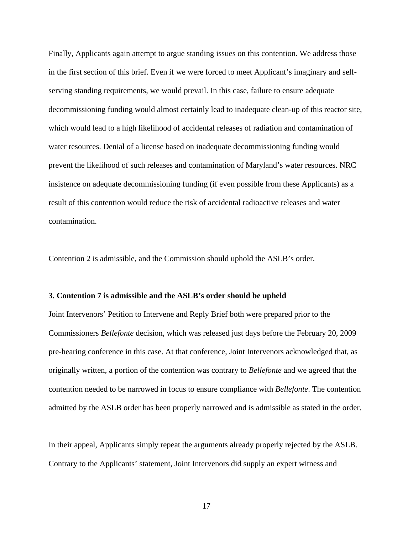Finally, Applicants again attempt to argue standing issues on this contention. We address those in the first section of this brief. Even if we were forced to meet Applicant's imaginary and selfserving standing requirements, we would prevail. In this case, failure to ensure adequate decommissioning funding would almost certainly lead to inadequate clean-up of this reactor site, which would lead to a high likelihood of accidental releases of radiation and contamination of water resources. Denial of a license based on inadequate decommissioning funding would prevent the likelihood of such releases and contamination of Maryland's water resources. NRC insistence on adequate decommissioning funding (if even possible from these Applicants) as a result of this contention would reduce the risk of accidental radioactive releases and water contamination.

Contention 2 is admissible, and the Commission should uphold the ASLB's order.

#### **3. Contention 7 is admissible and the ASLB's order should be upheld**

Joint Intervenors' Petition to Intervene and Reply Brief both were prepared prior to the Commissioners *Bellefonte* decision, which was released just days before the February 20, 2009 pre-hearing conference in this case. At that conference, Joint Intervenors acknowledged that, as originally written, a portion of the contention was contrary to *Bellefonte* and we agreed that the contention needed to be narrowed in focus to ensure compliance with *Bellefonte*. The contention admitted by the ASLB order has been properly narrowed and is admissible as stated in the order.

In their appeal, Applicants simply repeat the arguments already properly rejected by the ASLB. Contrary to the Applicants' statement, Joint Intervenors did supply an expert witness and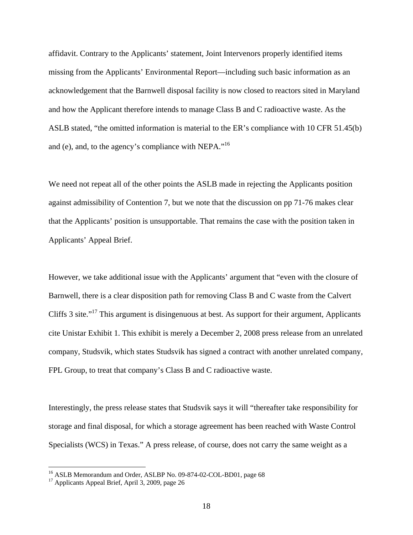affidavit. Contrary to the Applicants' statement, Joint Intervenors properly identified items missing from the Applicants' Environmental Report—including such basic information as an acknowledgement that the Barnwell disposal facility is now closed to reactors sited in Maryland and how the Applicant therefore intends to manage Class B and C radioactive waste. As the ASLB stated, "the omitted information is material to the ER's compliance with 10 CFR 51.45(b) and (e), and, to the agency's compliance with NEPA."16

We need not repeat all of the other points the ASLB made in rejecting the Applicants position against admissibility of Contention 7, but we note that the discussion on pp 71-76 makes clear that the Applicants' position is unsupportable. That remains the case with the position taken in Applicants' Appeal Brief.

However, we take additional issue with the Applicants' argument that "even with the closure of Barnwell, there is a clear disposition path for removing Class B and C waste from the Calvert Cliffs 3 site."17 This argument is disingenuous at best. As support for their argument, Applicants cite Unistar Exhibit 1. This exhibit is merely a December 2, 2008 press release from an unrelated company, Studsvik, which states Studsvik has signed a contract with another unrelated company, FPL Group, to treat that company's Class B and C radioactive waste.

Interestingly, the press release states that Studsvik says it will "thereafter take responsibility for storage and final disposal, for which a storage agreement has been reached with Waste Control Specialists (WCS) in Texas." A press release, of course, does not carry the same weight as a

<sup>&</sup>lt;sup>16</sup> ASLB Memorandum and Order, ASLBP No. 09-874-02-COL-BD01, page 68

<sup>&</sup>lt;sup>17</sup> Applicants Appeal Brief, April 3, 2009, page 26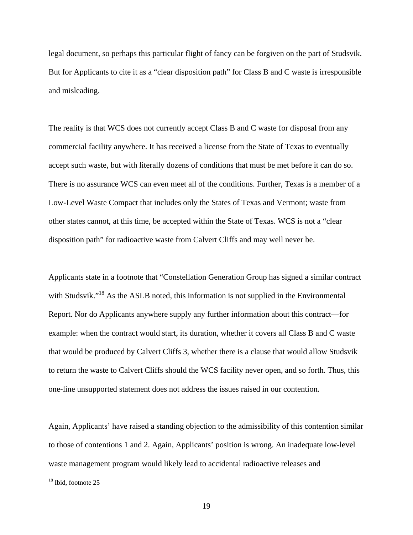legal document, so perhaps this particular flight of fancy can be forgiven on the part of Studsvik. But for Applicants to cite it as a "clear disposition path" for Class B and C waste is irresponsible and misleading.

The reality is that WCS does not currently accept Class B and C waste for disposal from any commercial facility anywhere. It has received a license from the State of Texas to eventually accept such waste, but with literally dozens of conditions that must be met before it can do so. There is no assurance WCS can even meet all of the conditions. Further, Texas is a member of a Low-Level Waste Compact that includes only the States of Texas and Vermont; waste from other states cannot, at this time, be accepted within the State of Texas. WCS is not a "clear disposition path" for radioactive waste from Calvert Cliffs and may well never be.

Applicants state in a footnote that "Constellation Generation Group has signed a similar contract with Studsvik."<sup>18</sup> As the ASLB noted, this information is not supplied in the Environmental Report. Nor do Applicants anywhere supply any further information about this contract—for example: when the contract would start, its duration, whether it covers all Class B and C waste that would be produced by Calvert Cliffs 3, whether there is a clause that would allow Studsvik to return the waste to Calvert Cliffs should the WCS facility never open, and so forth. Thus, this one-line unsupported statement does not address the issues raised in our contention.

Again, Applicants' have raised a standing objection to the admissibility of this contention similar to those of contentions 1 and 2. Again, Applicants' position is wrong. An inadequate low-level waste management program would likely lead to accidental radioactive releases and

<sup>&</sup>lt;sup>18</sup> Ibid, footnote 25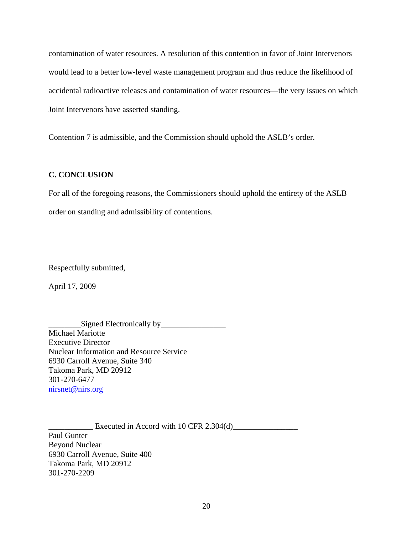contamination of water resources. A resolution of this contention in favor of Joint Intervenors would lead to a better low-level waste management program and thus reduce the likelihood of accidental radioactive releases and contamination of water resources—the very issues on which Joint Intervenors have asserted standing.

Contention 7 is admissible, and the Commission should uphold the ASLB's order.

#### **C. CONCLUSION**

For all of the foregoing reasons, the Commissioners should uphold the entirety of the ASLB order on standing and admissibility of contentions.

Respectfully submitted,

April 17, 2009

\_\_\_\_\_\_\_\_Signed Electronically by\_\_\_\_\_\_\_\_\_\_\_\_\_\_\_\_ Michael Mariotte Executive Director Nuclear Information and Resource Service 6930 Carroll Avenue, Suite 340 Takoma Park, MD 20912 301-270-6477 nirsnet@nirs.org

 $\equiv$  Executed in Accord with 10 CFR 2.304(d) $\equiv$ Paul Gunter Beyond Nuclear 6930 Carroll Avenue, Suite 400 Takoma Park, MD 20912 301-270-2209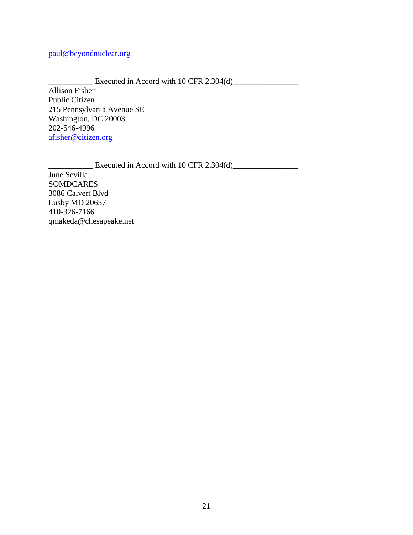## paul@beyondnuclear.org

 $\Box$  Executed in Accord with 10 CFR 2.304(d) Allison Fisher Public Citizen 215 Pennsylvania Avenue SE Washington, DC 20003 202-546-4996 afisher@citizen.org

 $\frac{1}{2}$  Executed in Accord with 10 CFR 2.304(d) June Sevilla **SOMDCARES** 3086 Calvert Blvd Lusby MD 20657 410-326-7166 qmakeda@chesapeake.net

21